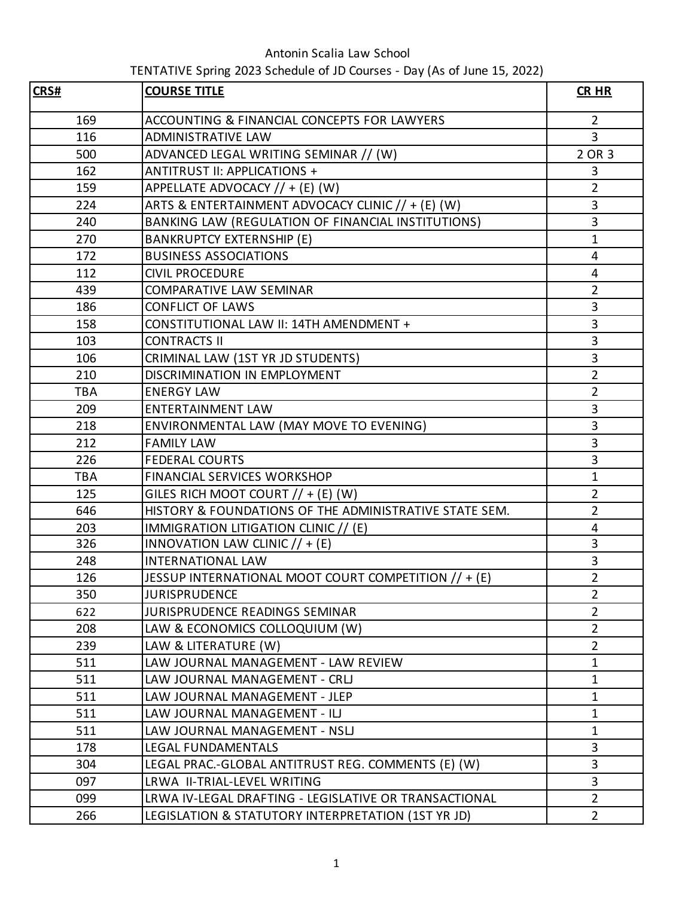Antonin Scalia Law School

## TENTATIVE Spring 2023 Schedule of JD Courses - Day (As of June 15, 2022)

| CRS#       | <b>COURSE TITLE</b>                                    | <b>CR HR</b>            |
|------------|--------------------------------------------------------|-------------------------|
| 169        | ACCOUNTING & FINANCIAL CONCEPTS FOR LAWYERS            | $\overline{2}$          |
| 116        | <b>ADMINISTRATIVE LAW</b>                              | $\overline{3}$          |
| 500        | ADVANCED LEGAL WRITING SEMINAR // (W)                  | 2 OR 3                  |
| 162        | ANTITRUST II: APPLICATIONS +                           | 3                       |
| 159        | APPELLATE ADVOCACY // + (E) (W)                        | $\overline{2}$          |
| 224        | ARTS & ENTERTAINMENT ADVOCACY CLINIC // + (E) (W)      | 3                       |
| 240        | BANKING LAW (REGULATION OF FINANCIAL INSTITUTIONS)     | 3                       |
| 270        | <b>BANKRUPTCY EXTERNSHIP (E)</b>                       | $\mathbf{1}$            |
| 172        | <b>BUSINESS ASSOCIATIONS</b>                           | $\overline{4}$          |
| 112        | <b>CIVIL PROCEDURE</b>                                 | 4                       |
| 439        | <b>COMPARATIVE LAW SEMINAR</b>                         | $\overline{2}$          |
| 186        | <b>CONFLICT OF LAWS</b>                                | 3                       |
| 158        | CONSTITUTIONAL LAW II: 14TH AMENDMENT +                | 3                       |
| 103        | <b>CONTRACTS II</b>                                    | 3                       |
| 106        | CRIMINAL LAW (1ST YR JD STUDENTS)                      | 3                       |
| 210        | DISCRIMINATION IN EMPLOYMENT                           | $\overline{2}$          |
| <b>TBA</b> | <b>ENERGY LAW</b>                                      | $\overline{2}$          |
| 209        | <b>ENTERTAINMENT LAW</b>                               | 3                       |
| 218        | ENVIRONMENTAL LAW (MAY MOVE TO EVENING)                | 3                       |
| 212        | <b>FAMILY LAW</b>                                      | 3                       |
| 226        | <b>FEDERAL COURTS</b>                                  | 3                       |
| <b>TBA</b> | <b>FINANCIAL SERVICES WORKSHOP</b>                     | $\mathbf{1}$            |
| 125        | GILES RICH MOOT COURT $// + (E)$ (W)                   | $\overline{2}$          |
| 646        | HISTORY & FOUNDATIONS OF THE ADMINISTRATIVE STATE SEM. | $\overline{2}$          |
| 203        | IMMIGRATION LITIGATION CLINIC // (E)                   | 4                       |
| 326        | INNOVATION LAW CLINIC $// + (E)$                       | $\overline{\mathbf{3}}$ |
| 248        | <b>INTERNATIONAL LAW</b>                               | 3                       |
| 126        | JESSUP INTERNATIONAL MOOT COURT COMPETITION // + (E)   | $\overline{2}$          |
| 350        | <b>JURISPRUDENCE</b>                                   | $\overline{2}$          |
| 622        | <b>JURISPRUDENCE READINGS SEMINAR</b>                  | $\overline{2}$          |
| 208        | LAW & ECONOMICS COLLOQUIUM (W)                         | $\overline{2}$          |
| 239        | LAW & LITERATURE (W)                                   | $\overline{2}$          |
| 511        | LAW JOURNAL MANAGEMENT - LAW REVIEW                    | $\mathbf{1}$            |
| 511        | LAW JOURNAL MANAGEMENT - CRLJ                          | $\mathbf{1}$            |
| 511        | LAW JOURNAL MANAGEMENT - JLEP                          | $\mathbf{1}$            |
| 511        | LAW JOURNAL MANAGEMENT - ILJ                           | $\mathbf{1}$            |
| 511        | LAW JOURNAL MANAGEMENT - NSLJ                          | $\mathbf{1}$            |
| 178        | LEGAL FUNDAMENTALS                                     | $\overline{3}$          |
| 304        | LEGAL PRAC.-GLOBAL ANTITRUST REG. COMMENTS (E) (W)     | 3                       |
| 097        | LRWA II-TRIAL-LEVEL WRITING                            | $\overline{3}$          |
| 099        | LRWA IV-LEGAL DRAFTING - LEGISLATIVE OR TRANSACTIONAL  | $\overline{2}$          |
| 266        | LEGISLATION & STATUTORY INTERPRETATION (1ST YR JD)     | $\overline{2}$          |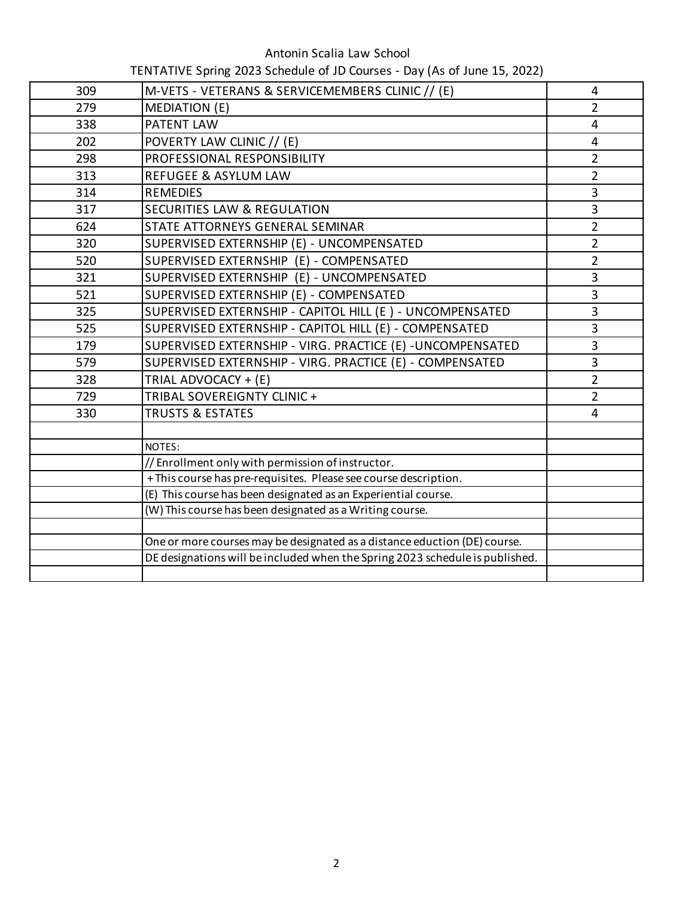## Antonin Scalia Law School

TENTATIVE Spring 2023 Schedule of JD Courses - Day (As of June 15, 2022)

| 309 | M-VETS - VETERANS & SERVICEMEMBERS CLINIC // (E)                             | $\overline{4}$ |
|-----|------------------------------------------------------------------------------|----------------|
| 279 | <b>MEDIATION (E)</b>                                                         | $\overline{2}$ |
| 338 | PATENT LAW                                                                   | 4              |
| 202 | POVERTY LAW CLINIC // (E)                                                    | 4              |
| 298 | PROFESSIONAL RESPONSIBILITY                                                  | $\overline{2}$ |
| 313 | <b>REFUGEE &amp; ASYLUM LAW</b>                                              | $\overline{2}$ |
| 314 | <b>REMEDIES</b>                                                              | $\overline{3}$ |
| 317 | <b>SECURITIES LAW &amp; REGULATION</b>                                       | 3              |
| 624 | STATE ATTORNEYS GENERAL SEMINAR                                              | $\overline{2}$ |
| 320 | SUPERVISED EXTERNSHIP (E) - UNCOMPENSATED                                    | $\overline{2}$ |
| 520 | SUPERVISED EXTERNSHIP (E) - COMPENSATED                                      | $\overline{2}$ |
| 321 | SUPERVISED EXTERNSHIP (E) - UNCOMPENSATED                                    | 3              |
| 521 | SUPERVISED EXTERNSHIP (E) - COMPENSATED                                      | 3              |
| 325 | SUPERVISED EXTERNSHIP - CAPITOL HILL (E) - UNCOMPENSATED                     | $\overline{3}$ |
| 525 | SUPERVISED EXTERNSHIP - CAPITOL HILL (E) - COMPENSATED                       | $\overline{3}$ |
| 179 | SUPERVISED EXTERNSHIP - VIRG. PRACTICE (E) - UNCOMPENSATED                   | 3              |
| 579 | SUPERVISED EXTERNSHIP - VIRG. PRACTICE (E) - COMPENSATED                     | $\overline{3}$ |
| 328 | TRIAL ADVOCACY + (E)                                                         | $\overline{2}$ |
| 729 | TRIBAL SOVEREIGNTY CLINIC +                                                  | $\overline{2}$ |
| 330 | <b>TRUSTS &amp; ESTATES</b>                                                  | $\overline{4}$ |
|     |                                                                              |                |
|     | NOTES:                                                                       |                |
|     | // Enrollment only with permission of instructor.                            |                |
|     | + This course has pre-requisites. Please see course description.             |                |
|     | (E) This course has been designated as an Experiential course.               |                |
|     | (W) This course has been designated as a Writing course.                     |                |
|     | One or more courses may be designated as a distance eduction (DE) course.    |                |
|     | DE designations will be included when the Spring 2023 schedule is published. |                |
|     |                                                                              |                |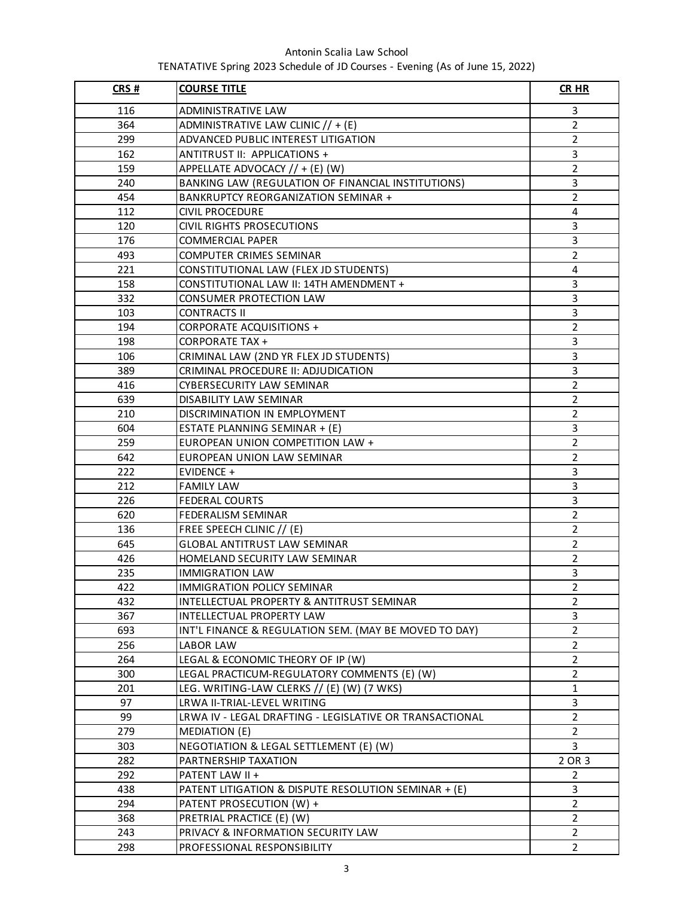## Antonin Scalia Law School TENATATIVE Spring 2023 Schedule of JD Courses - Evening (As of June 15, 2022)

| CRS# | <b>COURSE TITLE</b>                                     | <b>CR HR</b>   |
|------|---------------------------------------------------------|----------------|
| 116  | ADMINISTRATIVE LAW                                      | 3              |
| 364  | ADMINISTRATIVE LAW CLINIC // + (E)                      | $\overline{2}$ |
| 299  | ADVANCED PUBLIC INTEREST LITIGATION                     | $\overline{2}$ |
| 162  | ANTITRUST II: APPLICATIONS +                            | 3              |
| 159  | APPELLATE ADVOCACY // + (E) (W)                         | $\overline{2}$ |
| 240  | BANKING LAW (REGULATION OF FINANCIAL INSTITUTIONS)      | 3              |
| 454  | BANKRUPTCY REORGANIZATION SEMINAR +                     | $\overline{2}$ |
| 112  | <b>CIVIL PROCEDURE</b>                                  | 4              |
| 120  | <b>CIVIL RIGHTS PROSECUTIONS</b>                        | 3              |
| 176  | <b>COMMERCIAL PAPER</b>                                 | 3              |
| 493  | COMPUTER CRIMES SEMINAR                                 | $\overline{2}$ |
| 221  | CONSTITUTIONAL LAW (FLEX JD STUDENTS)                   | 4              |
| 158  | CONSTITUTIONAL LAW II: 14TH AMENDMENT +                 | 3              |
| 332  | CONSUMER PROTECTION LAW                                 | 3              |
| 103  | <b>CONTRACTS II</b>                                     | 3              |
| 194  | <b>CORPORATE ACQUISITIONS +</b>                         | $\overline{2}$ |
| 198  | <b>CORPORATE TAX +</b>                                  | 3              |
| 106  | CRIMINAL LAW (2ND YR FLEX JD STUDENTS)                  | 3              |
| 389  | CRIMINAL PROCEDURE II: ADJUDICATION                     | 3              |
| 416  | CYBERSECURITY LAW SEMINAR                               | $\overline{2}$ |
| 639  | DISABILITY LAW SEMINAR                                  | $\overline{2}$ |
| 210  | DISCRIMINATION IN EMPLOYMENT                            | $\overline{2}$ |
| 604  | ESTATE PLANNING SEMINAR + (E)                           | 3              |
| 259  | EUROPEAN UNION COMPETITION LAW +                        | $\overline{2}$ |
| 642  | EUROPEAN UNION LAW SEMINAR                              | $\overline{2}$ |
| 222  | EVIDENCE +                                              | 3              |
| 212  | <b>FAMILY LAW</b>                                       | 3              |
| 226  | <b>FEDERAL COURTS</b>                                   | 3              |
| 620  | <b>FEDERALISM SEMINAR</b>                               | $\overline{2}$ |
| 136  | FREE SPEECH CLINIC // (E)                               | $\overline{2}$ |
| 645  | <b>GLOBAL ANTITRUST LAW SEMINAR</b>                     | $\overline{2}$ |
| 426  | HOMELAND SECURITY LAW SEMINAR                           | $\overline{2}$ |
| 235  | <b>IMMIGRATION LAW</b>                                  | 3              |
| 422  | IMMIGRATION POLICY SEMINAR                              | $\overline{2}$ |
| 432  | INTELLECTUAL PROPERTY & ANTITRUST SEMINAR               | 2              |
| 367  | INTELLECTUAL PROPERTY LAW                               | 3              |
| 693  | INT'L FINANCE & REGULATION SEM. (MAY BE MOVED TO DAY)   | $\overline{2}$ |
| 256  | LABOR LAW                                               | $\overline{2}$ |
| 264  | LEGAL & ECONOMIC THEORY OF IP (W)                       | $\overline{2}$ |
| 300  | LEGAL PRACTICUM-REGULATORY COMMENTS (E) (W)             | $\overline{2}$ |
| 201  | LEG. WRITING-LAW CLERKS // (E) (W) (7 WKS)              | $\mathbf{1}$   |
| 97   | LRWA II-TRIAL-LEVEL WRITING                             | 3              |
| 99   | LRWA IV - LEGAL DRAFTING - LEGISLATIVE OR TRANSACTIONAL | $\overline{2}$ |
| 279  | MEDIATION (E)                                           | $\overline{2}$ |
| 303  | NEGOTIATION & LEGAL SETTLEMENT (E) (W)                  | 3              |
| 282  | PARTNERSHIP TAXATION                                    | 2 OR 3         |
| 292  | PATENT LAW II +                                         | $\overline{2}$ |
| 438  | PATENT LITIGATION & DISPUTE RESOLUTION SEMINAR + (E)    | 3              |
| 294  | PATENT PROSECUTION (W) +                                | $\overline{2}$ |
| 368  | PRETRIAL PRACTICE (E) (W)                               | $\overline{2}$ |
| 243  | PRIVACY & INFORMATION SECURITY LAW                      | $\overline{2}$ |
| 298  | PROFESSIONAL RESPONSIBILITY                             | $\overline{2}$ |